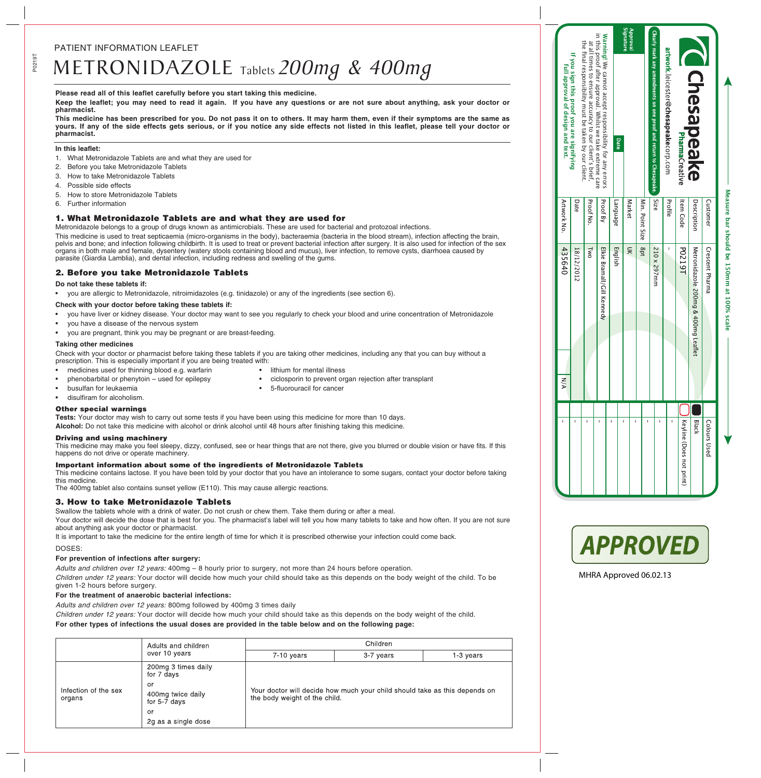# METRONIDAZOLE Tablets *200mg & 400mg*

## **Please read all of this leaflet carefully before you start taking this medicine.**

**Keep the leaflet; you may need to read it again. If you have any questions or are not sure about anything, ask your doctor or pharmacist.**

**This medicine has been prescribed for you. Do not pass it on to others. It may harm them, even if their symptoms are the same as yours. If any of the side effects gets serious, or if you notice any side effects not listed in this leaflet, please tell your doctor or pharmacist.**

#### **In this leaflet:**

- 1. What Metronidazole Tablets are and what they are used for
- 2. Before you take Metronidazole Tablets
- 3. How to take Metronidazole Tablets
- 4. Possible side effects
- 5. How to store Metronidazole Tablets
- 6. Further information

# 1. What Metronidazole Tablets are and what they are used for

Metronidazole belongs to a group of drugs known as antimicrobials. These are used for bacterial and protozoal infections.

This medicine is used to treat septicaemia (micro-organisms in the body), bacteraemia (bacteria in the blood stream), infection affecting the brain, pelvis and bone; and infection following childbirth. It is used to treat or prevent bacterial infection after surgery. It is also used for infection of the sex organs in both male and female, dysentery (watery stools containing blood and mucus), liver infection, to remove cysts, diarrhoea caused by parasite (Giardia Lamblia), and dental infection, including redness and swelling of the gums.

# 2. Before you take Metronidazole Tablets

## **Do not take these tablets if:**

• you are allergic to Metronidazole, nitroimidazoles (e.g. tinidazole) or any of the ingredients (see section 6).

## **Check with your doctor before taking these tablets if:**

- you have liver or kidney disease. Your doctor may want to see you regularly to check your blood and urine concentration of Metronidazole
- you have a disease of the nervous system
- you are pregnant, think you may be pregnant or are breast-feeding.

## **Taking other medicines**

Check with your doctor or pharmacist before taking these tablets if you are taking other medicines, including any that you can buy without a prescription. This is especially important if you are being treated with:

- medicines used for thinning blood e.g. warfarin lithium for mental illness
	-
	- phenobarbital or phenytoin used for epilepsy **•** ciclosporin to prevent organ rejection after transplant
	- busulfan for leukaemia **busulfan for cancer •** 5-fluorouracil for cancer
- disulfiram for alcoholism.

## Other special warnings

**Tests:** Your doctor may wish to carry out some tests if you have been using this medicine for more than 10 days.

**Alcohol:** Do not take this medicine with alcohol or drink alcohol until 48 hours after finishing taking this medicine.

## Driving and using machinery

This medicine may make you feel sleepy, dizzy, confused, see or hear things that are not there, give you blurred or double vision or have fits. If this happens do not drive or operate machinery.

## Important information about some of the ingredients of Metronidazole Tablets

This medicine contains lactose. If you have been told by your doctor that you have an intolerance to some sugars, contact your doctor before taking this medicine.

The 400mg tablet also contains sunset yellow (E110). This may cause allergic reactions.

## 3. How to take Metronidazole Tablets

Swallow the tablets whole with a drink of water. Do not crush or chew them. Take them during or after a meal.

Your doctor will decide the dose that is best for you. The pharmacist's label will tell you how many tablets to take and how often. If you are not sure about anything ask your doctor or pharmacist.

It is important to take the medicine for the entire length of time for which it is prescribed otherwise your infection could come back.

DOSES:

## **For prevention of infections after surgery:**

*Adults and children over 12 years:* 400mg – 8 hourly prior to surgery, not more than 24 hours before operation.

*Children under 12 years:* Your doctor will decide how much your child should take as this depends on the body weight of the child. To be given 1-2 hours before surgery.

## **For the treatment of anaerobic bacterial infections:**

*Adults and children over 12 years:* 800mg followed by 400mg 3 times daily

*Children under 12 years:* Your doctor will decide how much your child should take as this depends on the body weight of the child.

# **For other types of infections the usual doses are provided in the table below and on the following page:**

|                                | Adults and children<br>over 10 years    | Children                                                                                                    |           |           |  |
|--------------------------------|-----------------------------------------|-------------------------------------------------------------------------------------------------------------|-----------|-----------|--|
|                                |                                         | $7-10$ years                                                                                                | 3-7 years | 1-3 vears |  |
|                                | 200mg 3 times daily<br>for 7 days       | Your doctor will decide how much your child should take as this depends on<br>the body weight of the child. |           |           |  |
| Infection of the sex<br>organs | or<br>400mg twice daily<br>for 5-7 days |                                                                                                             |           |           |  |
|                                | or                                      |                                                                                                             |           |           |  |
|                                | 2g as a single dose                     |                                                                                                             |           |           |  |